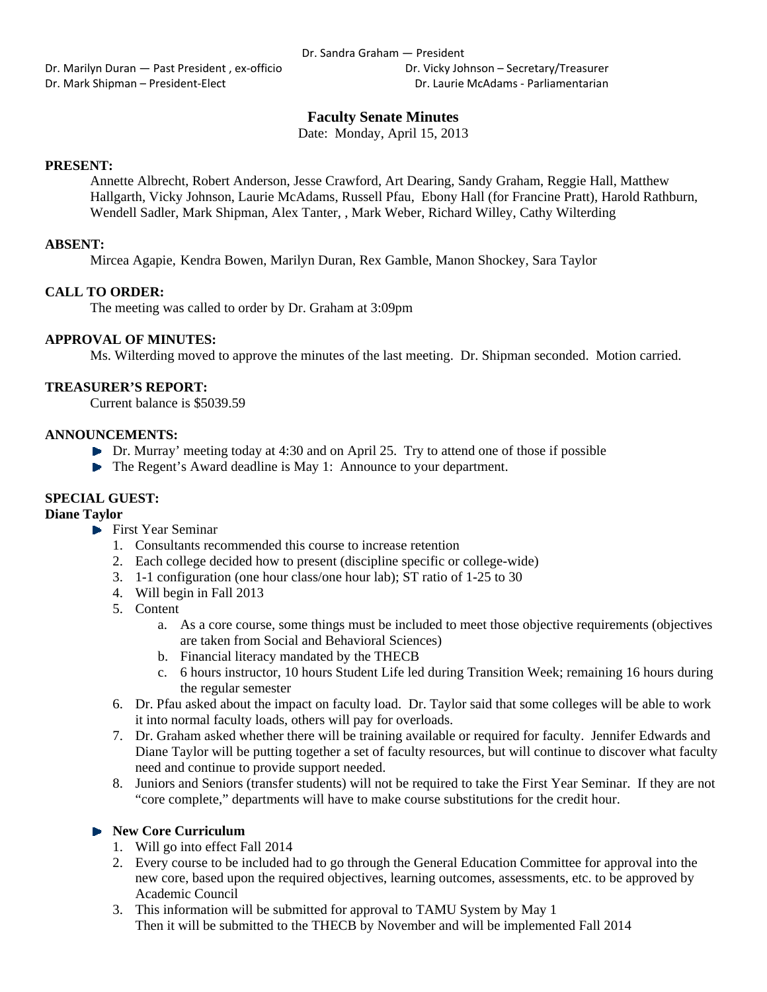Dr. Marilyn Duran — Past President, ex-officio **Britannia Company** Dr. Vicky Johnson – Secretary/Treasurer Dr. Mark Shipman – President‐Elect Dr. Laurie McAdams ‐ Parliamentarian

# **Faculty Senate Minutes**

Date: Monday, April 15, 2013

## **PRESENT:**

Annette Albrecht, Robert Anderson, Jesse Crawford, Art Dearing, Sandy Graham, Reggie Hall, Matthew Hallgarth, Vicky Johnson, Laurie McAdams, Russell Pfau, Ebony Hall (for Francine Pratt), Harold Rathburn, Wendell Sadler, Mark Shipman, Alex Tanter, , Mark Weber, Richard Willey, Cathy Wilterding

#### **ABSENT:**

Mircea Agapie, Kendra Bowen, Marilyn Duran, Rex Gamble, Manon Shockey, Sara Taylor

## **CALL TO ORDER:**

The meeting was called to order by Dr. Graham at 3:09pm

## **APPROVAL OF MINUTES:**

Ms. Wilterding moved to approve the minutes of the last meeting. Dr. Shipman seconded. Motion carried.

#### **TREASURER'S REPORT:**

Current balance is \$5039.59

#### **ANNOUNCEMENTS:**

- $\triangleright$  Dr. Murray' meeting today at 4:30 and on April 25. Try to attend one of those if possible
- ▶ The Regent's Award deadline is May 1: Announce to your department.

# **SPECIAL GUEST:**

#### **Diane Taylor**

- First Year Seminar
	- 1. Consultants recommended this course to increase retention
	- 2. Each college decided how to present (discipline specific or college-wide)
	- 3. 1-1 configuration (one hour class/one hour lab); ST ratio of 1-25 to 30
	- 4. Will begin in Fall 2013
	- 5. Content
		- a. As a core course, some things must be included to meet those objective requirements (objectives are taken from Social and Behavioral Sciences)
		- b. Financial literacy mandated by the THECB
		- c. 6 hours instructor, 10 hours Student Life led during Transition Week; remaining 16 hours during the regular semester
	- 6. Dr. Pfau asked about the impact on faculty load. Dr. Taylor said that some colleges will be able to work it into normal faculty loads, others will pay for overloads.
	- 7. Dr. Graham asked whether there will be training available or required for faculty. Jennifer Edwards and Diane Taylor will be putting together a set of faculty resources, but will continue to discover what faculty need and continue to provide support needed.
	- 8. Juniors and Seniors (transfer students) will not be required to take the First Year Seminar. If they are not "core complete," departments will have to make course substitutions for the credit hour.

## **New Core Curriculum**

- 1. Will go into effect Fall 2014
- 2. Every course to be included had to go through the General Education Committee for approval into the new core, based upon the required objectives, learning outcomes, assessments, etc. to be approved by Academic Council
- 3. This information will be submitted for approval to TAMU System by May 1 Then it will be submitted to the THECB by November and will be implemented Fall 2014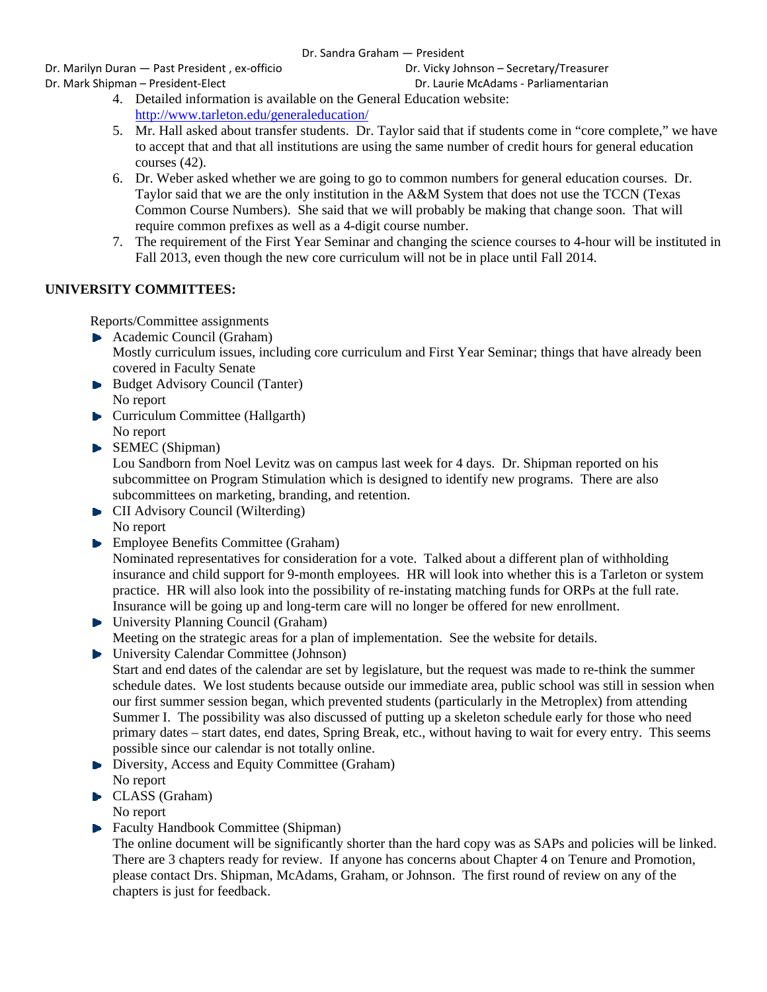## Dr. Sandra Graham — President

Dr. Marilyn Duran — Past President, ex-officio **Britannia Company** Dr. Vicky Johnson – Secretary/Treasurer Dr. Mark Shipman – President‐Elect Dr. Laurie McAdams ‐ Parliamentarian

- 4. Detailed information is available on the General Education website: http://www.tarleton.edu/generaleducation/
- 5. Mr. Hall asked about transfer students. Dr. Taylor said that if students come in "core complete," we have to accept that and that all institutions are using the same number of credit hours for general education courses (42).
- 6. Dr. Weber asked whether we are going to go to common numbers for general education courses. Dr. Taylor said that we are the only institution in the A&M System that does not use the TCCN (Texas Common Course Numbers). She said that we will probably be making that change soon. That will require common prefixes as well as a 4-digit course number.
- 7. The requirement of the First Year Seminar and changing the science courses to 4-hour will be instituted in Fall 2013, even though the new core curriculum will not be in place until Fall 2014.

# **UNIVERSITY COMMITTEES:**

Reports/Committee assignments

- Academic Council (Graham)
	- Mostly curriculum issues, including core curriculum and First Year Seminar; things that have already been covered in Faculty Senate
- Budget Advisory Council (Tanter) No report
- **Curriculum Committee (Hallgarth)** No report
- SEMEC (Shipman)

Lou Sandborn from Noel Levitz was on campus last week for 4 days. Dr. Shipman reported on his subcommittee on Program Stimulation which is designed to identify new programs. There are also subcommittees on marketing, branding, and retention.

- **CII** Advisory Council (Wilterding) No report
- **Employee Benefits Committee (Graham)**

Nominated representatives for consideration for a vote. Talked about a different plan of withholding insurance and child support for 9-month employees. HR will look into whether this is a Tarleton or system practice. HR will also look into the possibility of re-instating matching funds for ORPs at the full rate. Insurance will be going up and long-term care will no longer be offered for new enrollment.

- ▶ University Planning Council (Graham) Meeting on the strategic areas for a plan of implementation. See the website for details.
- University Calendar Committee (Johnson)

Start and end dates of the calendar are set by legislature, but the request was made to re-think the summer schedule dates. We lost students because outside our immediate area, public school was still in session when our first summer session began, which prevented students (particularly in the Metroplex) from attending Summer I. The possibility was also discussed of putting up a skeleton schedule early for those who need primary dates – start dates, end dates, Spring Break, etc., without having to wait for every entry. This seems possible since our calendar is not totally online.

- Diversity, Access and Equity Committee (Graham) No report
- CLASS (Graham)

No report

**Faculty Handbook Committee (Shipman)** 

The online document will be significantly shorter than the hard copy was as SAPs and policies will be linked. There are 3 chapters ready for review. If anyone has concerns about Chapter 4 on Tenure and Promotion, please contact Drs. Shipman, McAdams, Graham, or Johnson. The first round of review on any of the chapters is just for feedback.